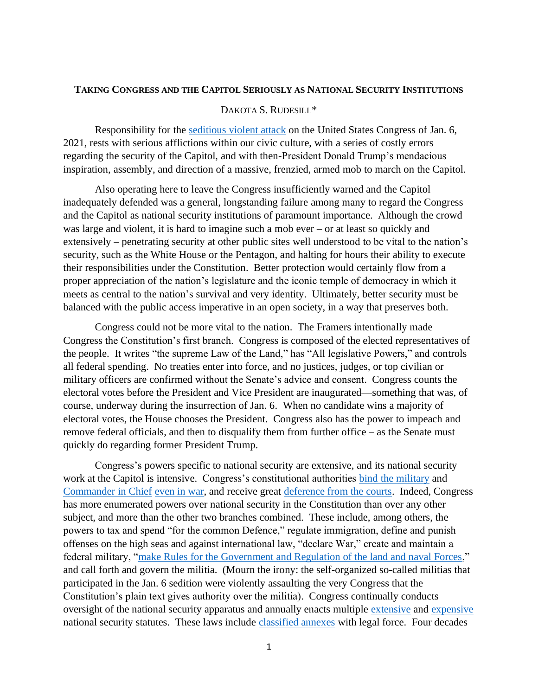## **TAKING CONGRESS AND THE CAPITOL SERIOUSLY AS NATIONAL SECURITY INSTITUTIONS**

## DAKOTA S. RUDESILL\*

Responsibility for the [seditious](https://www.law.cornell.edu/uscode/text/18/2384) violent attack on the United States Congress of Jan. 6, 2021, rests with serious afflictions within our civic culture, with a series of costly errors regarding the security of the Capitol, and with then-President Donald Trump's mendacious inspiration, assembly, and direction of a massive, frenzied, armed mob to march on the Capitol.

Also operating here to leave the Congress insufficiently warned and the Capitol inadequately defended was a general, longstanding failure among many to regard the Congress and the Capitol as national security institutions of paramount importance. Although the crowd was large and violent, it is hard to imagine such a mob ever – or at least so quickly and extensively – penetrating security at other public sites well understood to be vital to the nation's security, such as the White House or the Pentagon, and halting for hours their ability to execute their responsibilities under the Constitution. Better protection would certainly flow from a proper appreciation of the nation's legislature and the iconic temple of democracy in which it meets as central to the nation's survival and very identity. Ultimately, better security must be balanced with the public access imperative in an open society, in a way that preserves both.

Congress could not be more vital to the nation. The Framers intentionally made Congress the Constitution's first branch. Congress is composed of the elected representatives of the people. It writes "the supreme Law of the Land," has "All legislative Powers," and controls all federal spending. No treaties enter into force, and no justices, judges, or top civilian or military officers are confirmed without the Senate's advice and consent. Congress counts the electoral votes before the President and Vice President are inaugurated—something that was, of course, underway during the insurrection of Jan. 6. When no candidate wins a majority of electoral votes, the House chooses the President. Congress also has the power to impeach and remove federal officials, and then to disqualify them from further office – as the Senate must quickly do regarding former President Trump.

Congress's powers specific to national security are extensive, and its national security work at the Capitol is intensive. Congress's constitutional authorities [bind the](https://www.oyez.org/cases/1789-1850/6us170) military and [Commander in Chief](https://www.oyez.org/cases/1940-1955/343us579) [even in](https://www.oyez.org/cases/2005/05-184) war, and receive great [deference from the courts.](https://www.oyez.org/cases/1980/80-251) Indeed, Congress has more enumerated powers over national security in the Constitution than over any other subject, and more than the other two branches combined. These include, among others, the powers to tax and spend "for the common Defence," regulate immigration, define and punish offenses on the high seas and against international law, "declare War," create and maintain a federal military, ["make Rules for the Government and Regulation of the land and naval Forces,](https://papers.ssrn.com/sol3/papers.cfm?abstract_id=3022012)" and call forth and govern the militia. (Mourn the irony: the self-organized so-called militias that participated in the Jan. 6 sedition were violently assaulting the very Congress that the Constitution's plain text gives authority over the militia). Congress continually conducts oversight of the national security apparatus and annually enacts multiple [extensive](https://fas.org/sgp/crs/natsec/IF10516.pdf) and [expensive](https://fas.org/sgp/crs/natsec/IF10514.pdf) national security statutes. These laws include [classified annexes](https://www.lawfareblog.com/tracking-congresss-library-secret-law-legislative-update-114th-and-115th-congresses) with legal force. Four decades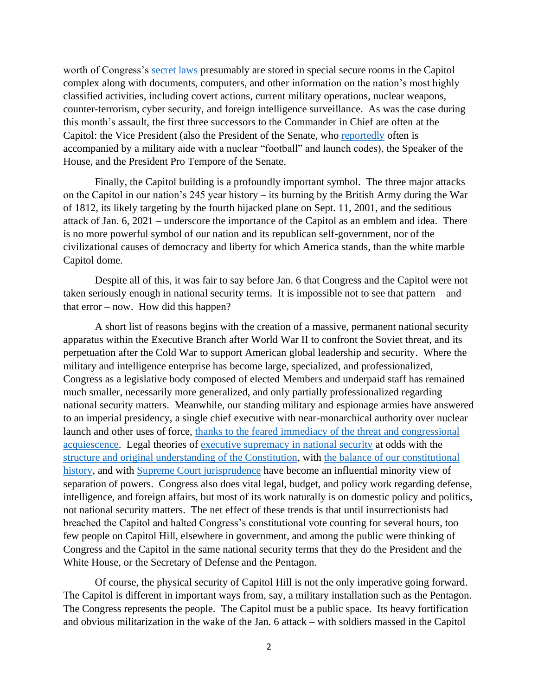worth of Congress's [secret laws](https://papers.ssrn.com/sol3/papers.cfm?abstract_id=2687223) presumably are stored in special secure rooms in the Capitol complex along with documents, computers, and other information on the nation's most highly classified activities, including covert actions, current military operations, nuclear weapons, counter-terrorism, cyber security, and foreign intelligence surveillance. As was the case during this month's assault, the first three successors to the Commander in Chief are often at the Capitol: the Vice President (also the President of the Senate, who [reportedly](https://www.cnn.com/2021/01/19/politics/trump-biden-nuclear-football-inauguration/index.html) often is accompanied by a military aide with a nuclear "football" and launch codes), the Speaker of the House, and the President Pro Tempore of the Senate.

Finally, the Capitol building is a profoundly important symbol. The three major attacks on the Capitol in our nation's 245 year history – its burning by the British Army during the War of 1812, its likely targeting by the fourth hijacked plane on Sept. 11, 2001, and the seditious attack of Jan. 6, 2021 – underscore the importance of the Capitol as an emblem and idea. There is no more powerful symbol of our nation and its republican self-government, nor of the civilizational causes of democracy and liberty for which America stands, than the white marble Capitol dome.

Despite all of this, it was fair to say before Jan. 6 that Congress and the Capitol were not taken seriously enough in national security terms. It is impossible not to see that pattern – and that error – now. How did this happen?

A short list of reasons begins with the creation of a massive, permanent national security apparatus within the Executive Branch after World War II to confront the Soviet threat, and its perpetuation after the Cold War to support American global leadership and security. Where the military and intelligence enterprise has become large, specialized, and professionalized, Congress as a legislative body composed of elected Members and underpaid staff has remained much smaller, necessarily more generalized, and only partially professionalized regarding national security matters. Meanwhile, our standing military and espionage armies have answered to an imperial presidency, a single chief executive with near-monarchical authority over nuclear launch and other uses of force, thanks to the feared [immediacy of the threat](https://papers.ssrn.com/sol3/papers.cfm?abstract_id=3689074) and congressional [acquiescence.](https://papers.ssrn.com/sol3/papers.cfm?abstract_id=3689074) Legal theories of [executive supremacy](https://scholarship.law.umn.edu/faculty_articles/464/) in national security at odds with the structure and [original understanding of the Constitution,](https://harvardlawreview.org/2008/01/the-commander-in-chief-at-the-lowest-ebb-ae-framing-the-problem-doctrine-and-original-understanding/) with [the balance of our constitutional](https://harvardlawreview.org/2008/02/the-commander-in-chief-at-the-lowest-ebb-ae-a-constitutional-history/)  [history,](https://harvardlawreview.org/2008/02/the-commander-in-chief-at-the-lowest-ebb-ae-a-constitutional-history/) and with [Supreme Court jurisprudence](https://www.oyez.org/cases/2005/05-184) have become an influential minority view of separation of powers. Congress also does vital legal, budget, and policy work regarding defense, intelligence, and foreign affairs, but most of its work naturally is on domestic policy and politics, not national security matters. The net effect of these trends is that until insurrectionists had breached the Capitol and halted Congress's constitutional vote counting for several hours, too few people on Capitol Hill, elsewhere in government, and among the public were thinking of Congress and the Capitol in the same national security terms that they do the President and the White House, or the Secretary of Defense and the Pentagon.

Of course, the physical security of Capitol Hill is not the only imperative going forward. The Capitol is different in important ways from, say, a military installation such as the Pentagon. The Congress represents the people. The Capitol must be a public space. Its heavy fortification and obvious militarization in the wake of the Jan. 6 attack – with soldiers massed in the Capitol